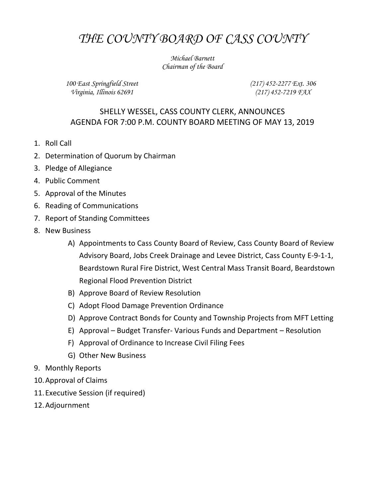## *THE COUNTY BOARD OF CASS COUNTY*

*Michael Barnett Chairman of the Board*

*100 East Springfield Street Virginia, Illinois 62691*

*(217) 452-2277 Ext. 306 (217) 452-7219 FAX*

## SHELLY WESSEL, CASS COUNTY CLERK, ANNOUNCES AGENDA FOR 7:00 P.M. COUNTY BOARD MEETING OF MAY 13, 2019

- 1. Roll Call
- 2. Determination of Quorum by Chairman
- 3. Pledge of Allegiance
- 4. Public Comment
- 5. Approval of the Minutes
- 6. Reading of Communications
- 7. Report of Standing Committees
- 8. New Business
	- A) Appointments to Cass County Board of Review, Cass County Board of Review Advisory Board, Jobs Creek Drainage and Levee District, Cass County E-9-1-1, Beardstown Rural Fire District, West Central Mass Transit Board, Beardstown Regional Flood Prevention District
	- B) Approve Board of Review Resolution
	- C) Adopt Flood Damage Prevention Ordinance
	- D) Approve Contract Bonds for County and Township Projects from MFT Letting
	- E) Approval Budget Transfer- Various Funds and Department Resolution
	- F) Approval of Ordinance to Increase Civil Filing Fees
	- G) Other New Business
- 9. Monthly Reports
- 10.Approval of Claims
- 11.Executive Session (if required)
- 12.Adjournment